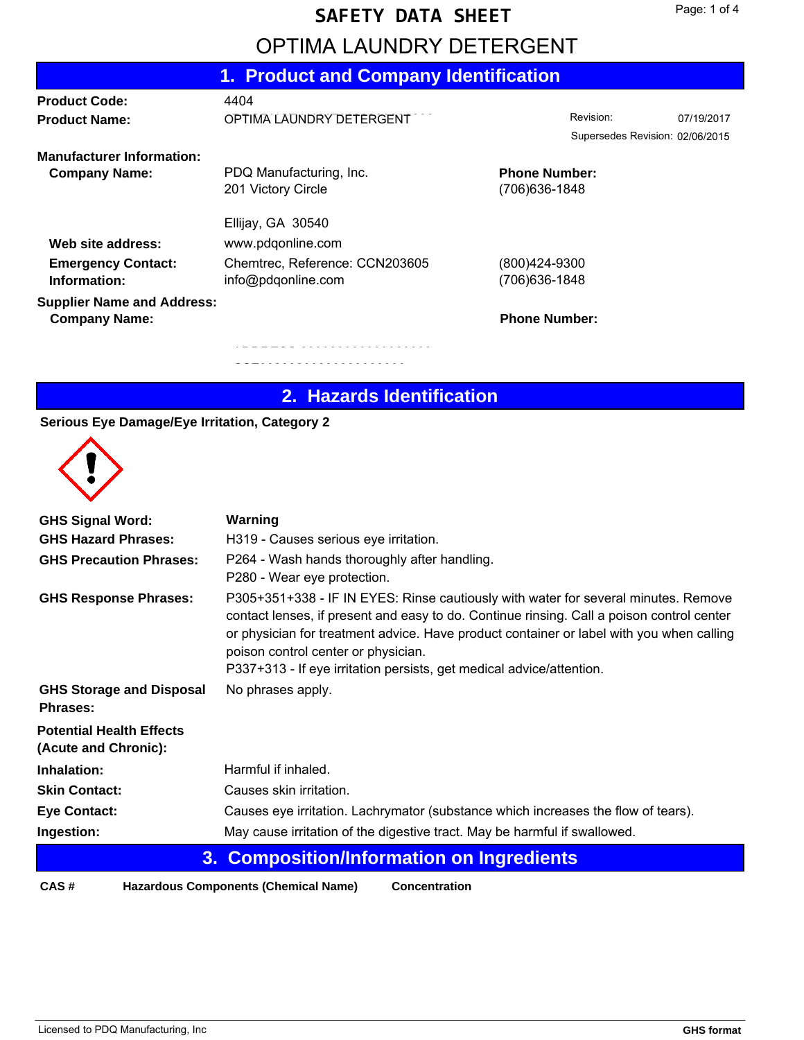#### **SAFETY DATA SHEET**

# OPTIMA LAUNDRY DETERGENT

|                                                                                                                                  |                                       | 07/19/2017                                                                                                                                        |
|----------------------------------------------------------------------------------------------------------------------------------|---------------------------------------|---------------------------------------------------------------------------------------------------------------------------------------------------|
|                                                                                                                                  |                                       |                                                                                                                                                   |
|                                                                                                                                  |                                       |                                                                                                                                                   |
|                                                                                                                                  |                                       |                                                                                                                                                   |
|                                                                                                                                  |                                       |                                                                                                                                                   |
|                                                                                                                                  |                                       |                                                                                                                                                   |
|                                                                                                                                  |                                       |                                                                                                                                                   |
|                                                                                                                                  |                                       |                                                                                                                                                   |
|                                                                                                                                  |                                       |                                                                                                                                                   |
|                                                                                                                                  |                                       |                                                                                                                                                   |
|                                                                                                                                  |                                       |                                                                                                                                                   |
| OPTIMA LAUNDRY DETERGENT<br>PDQ Manufacturing, Inc.<br>www.pdqonline.com<br>Chemtrec, Reference: CCN203605<br>info@pdgonline.com | 1. Product and Company Identification | Revision:<br>Supersedes Revision: 02/06/2015<br><b>Phone Number:</b><br>(706) 636-1848<br>(800)424-9300<br>(706) 636-1848<br><b>Phone Number:</b> |

### **2. Hazards Identification**

#### **Serious Eye Damage/Eye Irritation, Category 2**



| <b>GHS Signal Word:</b>                                 | Warning                                                                                                                                                                                                                                                                                                                                                                                    |  |  |  |
|---------------------------------------------------------|--------------------------------------------------------------------------------------------------------------------------------------------------------------------------------------------------------------------------------------------------------------------------------------------------------------------------------------------------------------------------------------------|--|--|--|
| <b>GHS Hazard Phrases:</b>                              | H319 - Causes serious eye irritation.                                                                                                                                                                                                                                                                                                                                                      |  |  |  |
| <b>GHS Precaution Phrases:</b>                          | P264 - Wash hands thoroughly after handling.<br>P280 - Wear eye protection.                                                                                                                                                                                                                                                                                                                |  |  |  |
| <b>GHS Response Phrases:</b>                            | P305+351+338 - IF IN EYES: Rinse cautiously with water for several minutes. Remove<br>contact lenses, if present and easy to do. Continue rinsing. Call a poison control center<br>or physician for treatment advice. Have product container or label with you when calling<br>poison control center or physician.<br>P337+313 - If eye irritation persists, get medical advice/attention. |  |  |  |
| <b>GHS Storage and Disposal</b><br><b>Phrases:</b>      | No phrases apply.                                                                                                                                                                                                                                                                                                                                                                          |  |  |  |
| <b>Potential Health Effects</b><br>(Acute and Chronic): |                                                                                                                                                                                                                                                                                                                                                                                            |  |  |  |
| Inhalation:                                             | Harmful if inhaled.                                                                                                                                                                                                                                                                                                                                                                        |  |  |  |
| <b>Skin Contact:</b>                                    | Causes skin irritation.                                                                                                                                                                                                                                                                                                                                                                    |  |  |  |
| <b>Eye Contact:</b>                                     | Causes eye irritation. Lachrymator (substance which increases the flow of tears).                                                                                                                                                                                                                                                                                                          |  |  |  |
| Ingestion:                                              | May cause irritation of the digestive tract. May be harmful if swallowed.                                                                                                                                                                                                                                                                                                                  |  |  |  |
| 3. Composition/Information on Ingredients               |                                                                                                                                                                                                                                                                                                                                                                                            |  |  |  |

**CAS # Hazardous Components (Chemical Name)**

**Concentration**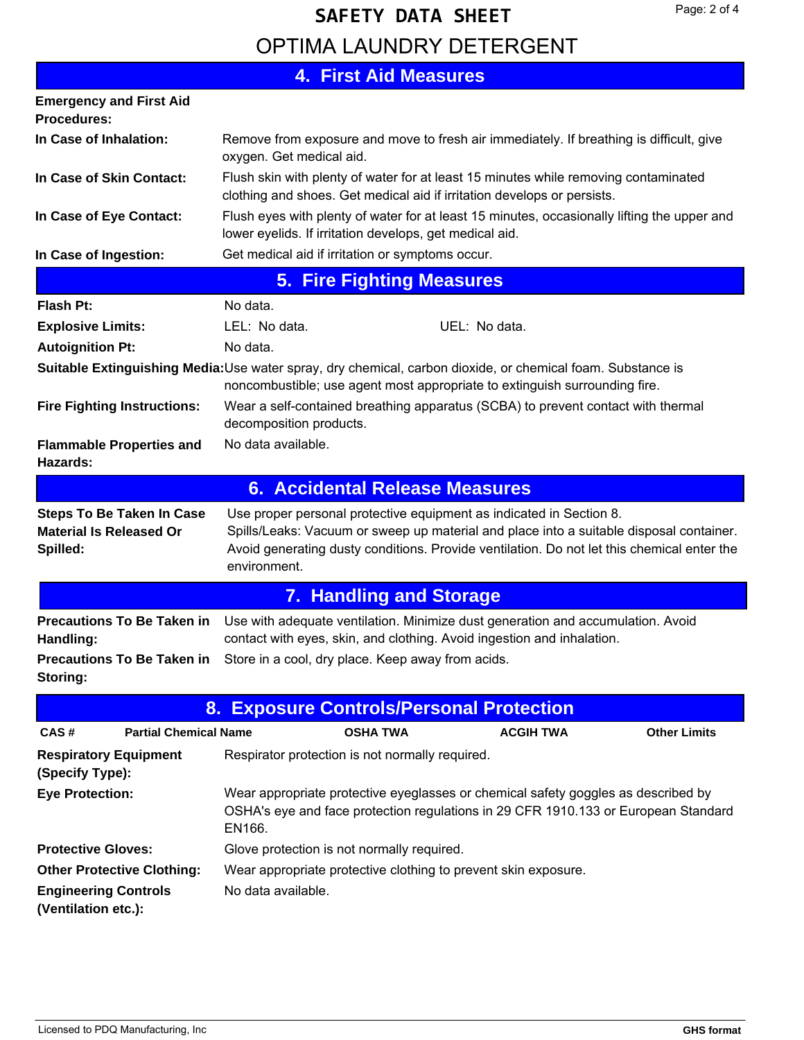# OPTIMA LAUNDRY DETERGENT **SAFETY DATA SHEET**

**In Case of Inhalation: 4. First Aid Measures Emergency and First Aid Procedures:** Flush eyes with plenty of water for at least 15 minutes, occasionally lifting the upper and lower eyelids. If irritation develops, get medical aid. **In Case of Eye Contact:** Flush skin with plenty of water for at least 15 minutes while removing contaminated clothing and shoes. Get medical aid if irritation develops or persists. **In Case of Skin Contact: In Case of Ingestion:** Get medical aid if irritation or symptoms occur. Remove from exposure and move to fresh air immediately. If breathing is difficult, give oxygen. Get medical aid. **5. Fire Fighting Measures Flash Pt:** No data. Wear a self-contained breathing apparatus (SCBA) to prevent contact with thermal decomposition products. **Fire Fighting Instructions: Flammable Properties and** No data available. **Hazards: Autoignition Pt:** No data. **Explosive Limits:** LEL: No data. When the UEL: No data. **Suitable Extinguishing Media:**Use water spray, dry chemical, carbon dioxide, or chemical foam. Substance is noncombustible; use agent most appropriate to extinguish surrounding fire. **6. Accidental Release Measures** Use proper personal protective equipment as indicated in Section 8. Spills/Leaks: Vacuum or sweep up material and place into a suitable disposal container. Avoid generating dusty conditions. Provide ventilation. Do not let this chemical enter the environment. **Steps To Be Taken In Case Material Is Released Or Spilled: 7. Handling and Storage** Use with adequate ventilation. Minimize dust generation and accumulation. Avoid contact with eyes, skin, and clothing. Avoid ingestion and inhalation. **Precautions To Be Taken in Handling: Precautions To Be Taken in** Store in a cool, dry place. Keep away from acids. **Storing: 8. Exposure Controls/Personal Protection CAS # Partial Chemical Name OSHA TWA ACGIH TWA Other Limits Respiratory Equipment** Respirator protection is not normally required. **(Specify Type):** Wear appropriate protective eyeglasses or chemical safety goggles as described by OSHA's eye and face protection regulations in 29 CFR 1910.133 or European Standard EN166. **Eye Protection: Protective Gloves:** Glove protection is not normally required. **Other Protective Clothing:** Wear appropriate protective clothing to prevent skin exposure. **Engineering Controls** No data available. **(Ventilation etc.):**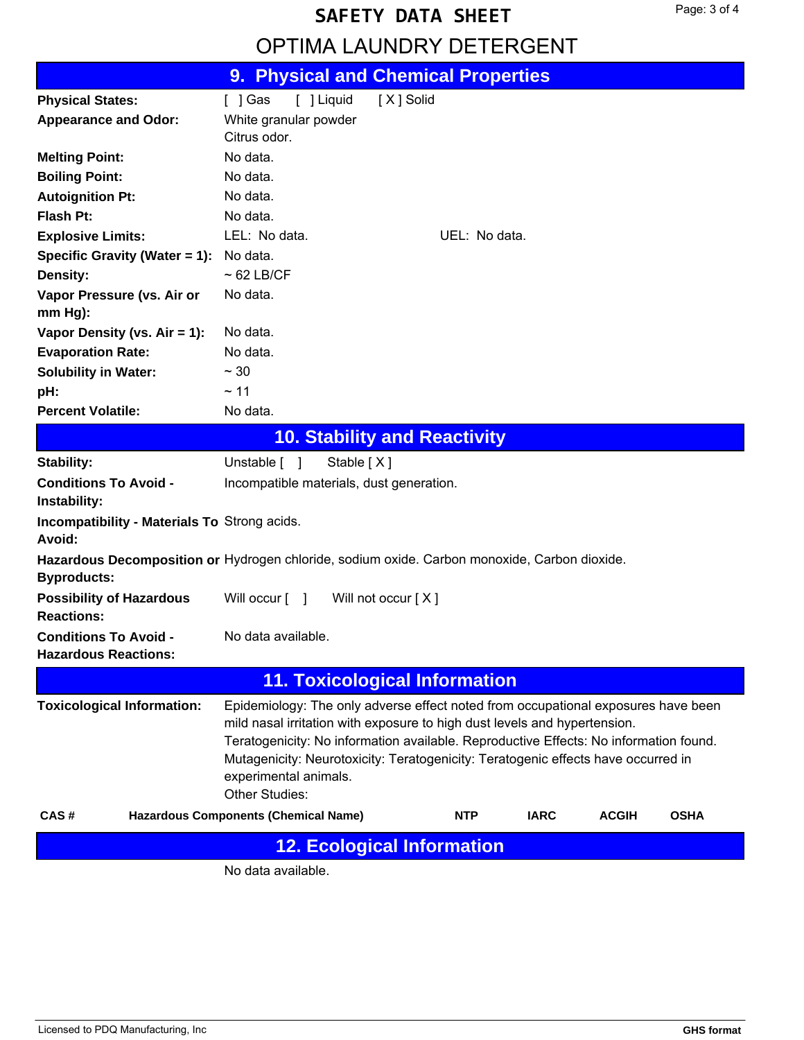# **SAFETY DATA SHEET**

## OPTIMA LAUNDRY DETERGENT

|                                                             | 9. Physical and Chemical Properties                                                                                                                                                                                                                                                                                                                                                     |
|-------------------------------------------------------------|-----------------------------------------------------------------------------------------------------------------------------------------------------------------------------------------------------------------------------------------------------------------------------------------------------------------------------------------------------------------------------------------|
| <b>Physical States:</b>                                     | [ ] Liquid<br>[X] Solid<br>$[$ ] Gas                                                                                                                                                                                                                                                                                                                                                    |
| <b>Appearance and Odor:</b>                                 | White granular powder                                                                                                                                                                                                                                                                                                                                                                   |
|                                                             | Citrus odor.                                                                                                                                                                                                                                                                                                                                                                            |
| <b>Melting Point:</b>                                       | No data.                                                                                                                                                                                                                                                                                                                                                                                |
| <b>Boiling Point:</b>                                       | No data.                                                                                                                                                                                                                                                                                                                                                                                |
| <b>Autoignition Pt:</b>                                     | No data.                                                                                                                                                                                                                                                                                                                                                                                |
| Flash Pt:                                                   | No data.                                                                                                                                                                                                                                                                                                                                                                                |
| <b>Explosive Limits:</b>                                    | LEL: No data.<br>UEL: No data.                                                                                                                                                                                                                                                                                                                                                          |
| Specific Gravity (Water = 1):                               | No data.                                                                                                                                                                                                                                                                                                                                                                                |
| <b>Density:</b>                                             | $~62$ LB/CF                                                                                                                                                                                                                                                                                                                                                                             |
| Vapor Pressure (vs. Air or<br>$mm Hg$ ):                    | No data.                                                                                                                                                                                                                                                                                                                                                                                |
| Vapor Density (vs. $Air = 1$ ):                             | No data.                                                                                                                                                                                                                                                                                                                                                                                |
| <b>Evaporation Rate:</b>                                    | No data.                                                                                                                                                                                                                                                                                                                                                                                |
| <b>Solubility in Water:</b>                                 | $\sim$ 30                                                                                                                                                                                                                                                                                                                                                                               |
| pH:                                                         | ~11                                                                                                                                                                                                                                                                                                                                                                                     |
| <b>Percent Volatile:</b>                                    | No data.                                                                                                                                                                                                                                                                                                                                                                                |
|                                                             | <b>10. Stability and Reactivity</b>                                                                                                                                                                                                                                                                                                                                                     |
| <b>Stability:</b>                                           | Unstable [ ]<br>Stable $[X]$                                                                                                                                                                                                                                                                                                                                                            |
| <b>Conditions To Avoid -</b><br>Instability:                | Incompatible materials, dust generation.                                                                                                                                                                                                                                                                                                                                                |
| Incompatibility - Materials To Strong acids.<br>Avoid:      |                                                                                                                                                                                                                                                                                                                                                                                         |
| <b>Byproducts:</b>                                          | Hazardous Decomposition or Hydrogen chloride, sodium oxide. Carbon monoxide, Carbon dioxide.                                                                                                                                                                                                                                                                                            |
| <b>Possibility of Hazardous</b><br><b>Reactions:</b>        | Will occur $\lceil \quad \rceil$<br>Will not occur [X]                                                                                                                                                                                                                                                                                                                                  |
| <b>Conditions To Avoid -</b><br><b>Hazardous Reactions:</b> | No data available.                                                                                                                                                                                                                                                                                                                                                                      |
|                                                             | <b>11. Toxicological Information</b>                                                                                                                                                                                                                                                                                                                                                    |
| <b>Toxicological Information:</b>                           | Epidemiology: The only adverse effect noted from occupational exposures have been<br>mild nasal irritation with exposure to high dust levels and hypertension.<br>Teratogenicity: No information available. Reproductive Effects: No information found.<br>Mutagenicity: Neurotoxicity: Teratogenicity: Teratogenic effects have occurred in<br>experimental animals.<br>Other Studies: |
| CAS#                                                        | <b>Hazardous Components (Chemical Name)</b><br><b>IARC</b><br><b>ACGIH</b><br><b>OSHA</b><br><b>NTP</b>                                                                                                                                                                                                                                                                                 |
|                                                             | <b>12. Ecological Information</b>                                                                                                                                                                                                                                                                                                                                                       |
|                                                             | No data available.                                                                                                                                                                                                                                                                                                                                                                      |